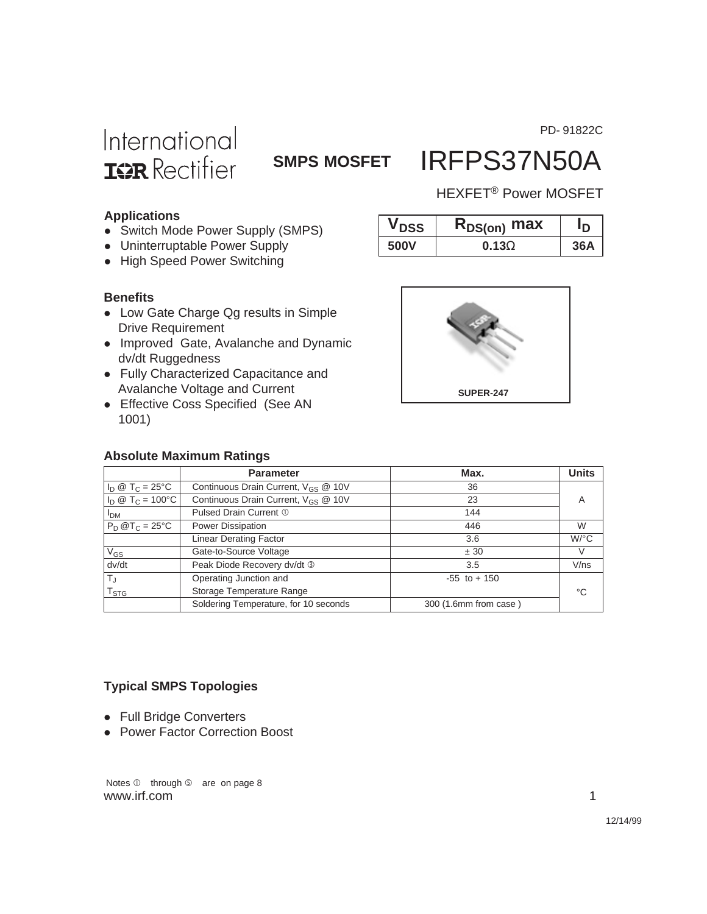PD- 91822C

# International **ISR** Rectifier

### **SMPS MOSFET** IRFPS37N50A

### HEXFET® Power MOSFET

#### **Applications**

- Switch Mode Power Supply (SMPS)
- Uninterruptable Power Supply
- High Speed Power Switching

#### **Benefits**

- Low Gate Charge Qg results in Simple Drive Requirement
- Improved Gate, Avalanche and Dynamic dv/dt Ruggedness
- Fully Characterized Capacitance and Avalanche Voltage and Current
- Effective Coss Specified (See AN 1001)

#### **Absolute Maximum Ratings**



 $V_{DSS}$  **R**<sub>DS(on)</sub> max |  $I_D$ **500V 0.13**Ω **36A**

|                                  | <b>Parameter</b>                                         | Max.                  | <b>Units</b> |
|----------------------------------|----------------------------------------------------------|-----------------------|--------------|
| $I_D @ T_C = 25^{\circ}C$        | Continuous Drain Current, $V_{GS} \n\textcircled{2} 10V$ | 36                    |              |
| $I_D \otimes T_C = 100^{\circ}C$ | Continuous Drain Current, $V_{GS}$ @ 10V                 | 23                    | Α            |
| I <sub>DM</sub>                  | Pulsed Drain Current 1                                   | 144                   |              |
| $P_D @T_C = 25°C$                | Power Dissipation                                        | 446                   | W            |
|                                  | <b>Linear Derating Factor</b>                            | 3.6                   | $W$ /°C      |
| $V_{GS}$                         | Gate-to-Source Voltage                                   | ± 30                  | V            |
| dv/dt                            | Peak Diode Recovery dv/dt 3                              | 3.5                   | V/ns         |
| $T_J$                            | Operating Junction and                                   | $-55$ to $+150$       |              |
| $\mathsf{T}_{\textsf{STG}}$      | Storage Temperature Range                                |                       | °C           |
|                                  | Soldering Temperature, for 10 seconds                    | 300 (1.6mm from case) |              |

### **Typical SMPS Topologies**

- Full Bridge Converters
- Power Factor Correction Boost

Notes  $\mathbb D$  through  $\mathbb S$  are on page 8 www.irf.com 1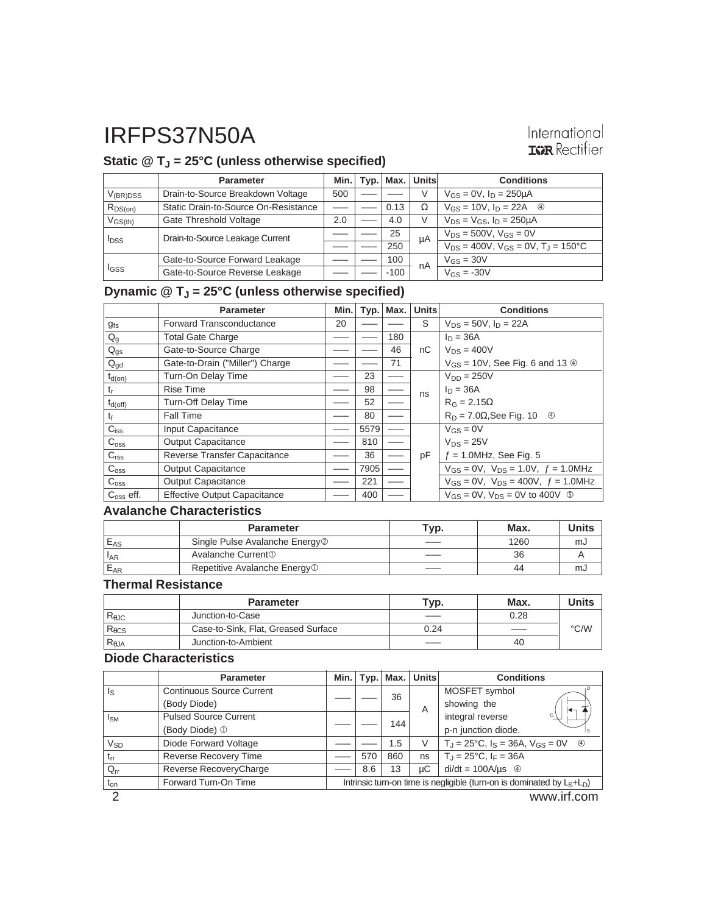### International **ISPR** Rectifier

### **Static @ TJ = 25°C (unless otherwise specified)**

|                  | <b>Parameter</b>                     | Min. |        | Typ.   Max.   Units | <b>Conditions</b>                                        |
|------------------|--------------------------------------|------|--------|---------------------|----------------------------------------------------------|
| $V_{(BR)DSS}$    | Drain-to-Source Breakdown Voltage    | 500  |        | V                   | $V_{GS} = 0V$ , $I_D = 250 \mu A$                        |
| $R_{DS(on)}$     | Static Drain-to-Source On-Resistance |      | 0.13   | Ω                   | $V_{GS} = 10V$ , $I_D = 22A$ 4                           |
| $V_{GS(th)}$     | Gate Threshold Voltage               | 2.0  | 4.0    |                     | $V_{DS} = V_{GS}$ , $I_D = 250 \mu A$                    |
| <b>I</b> DSS     | Drain-to-Source Leakage Current      |      | 25     | μA                  | $V_{DS} = 500V$ , $V_{GS} = 0V$                          |
|                  |                                      |      | 250    |                     | $V_{DS} = 400V$ , $V_{GS} = 0V$ , $T_{J} = 150^{\circ}C$ |
| l <sub>GSS</sub> | Gate-to-Source Forward Leakage       |      | 100    | nA                  | $V_{GS} = 30V$                                           |
|                  | Gate-to-Source Reverse Leakage       |      | $-100$ |                     | $V_{GS} = -30V$                                          |

## **Dynamic @ TJ = 25°C (unless otherwise specified)**

|                           | <b>Parameter</b>                    | Min.l | Typ. | Max. | <b>Units</b> | <b>Conditions</b>                                    |
|---------------------------|-------------------------------------|-------|------|------|--------------|------------------------------------------------------|
| $g_{fs}$                  | <b>Forward Transconductance</b>     | 20    |      |      | S            | $V_{DS} = 50V$ , $I_D = 22A$                         |
| $\mathsf{Q}_{\mathsf{g}}$ | <b>Total Gate Charge</b>            |       |      | 180  |              | $\ln = 36A$                                          |
| $Q_{gs}$                  | Gate-to-Source Charge               |       |      | 46   | nC           | $V_{DS} = 400V$                                      |
| $Q_{gd}$                  | Gate-to-Drain ("Miller") Charge     |       |      | 71   |              | $V_{GS}$ = 10V, See Fig. 6 and 13 $\circledcirc$     |
| $t_{d(on)}$               | Turn-On Delay Time                  |       | 23   |      |              | $V_{DD} = 250V$                                      |
| t                         | <b>Rise Time</b>                    |       | 98   |      | ns           | $I_D = 36A$                                          |
| $t_{d(off)}$              | <b>Turn-Off Delay Time</b>          |       | 52   |      |              | $R_G = 2.15\Omega$                                   |
| t                         | <b>Fall Time</b>                    |       | 80   |      |              | $R_D = 7.0\Omega$ , See Fig. 10 $\Phi$               |
| $C_{iss}$                 | Input Capacitance                   |       | 5579 |      |              | $V_{GS} = 0V$                                        |
| $C_{\text{oss}}$          | <b>Output Capacitance</b>           |       | 810  |      |              | $V_{DS} = 25V$                                       |
| C <sub>rss</sub>          | Reverse Transfer Capacitance        |       | 36   |      | pF           | $f = 1.0$ MHz, See Fig. 5                            |
| $C_{\rm oss}$             | <b>Output Capacitance</b>           |       | 7905 |      |              | $V_{GS} = 0V$ , $V_{DS} = 1.0V$ , $f = 1.0MHz$       |
| $C_{\rm oss}$             | <b>Output Capacitance</b>           |       | 221  |      |              | $V_{GS} = 0V$ , $V_{DS} = 400V$ , $f = 1.0 MHz$      |
| $Coss$ eff.               | <b>Effective Output Capacitance</b> |       | 400  |      |              | $V_{GS} = 0V$ , $V_{DS} = 0V$ to 400V $\circledcirc$ |

#### **Avalanche Characteristics**

|                 | <b>Parameter</b>                           | Typ. | Max. | <b>Units</b> |
|-----------------|--------------------------------------------|------|------|--------------|
| $E_{AS}$        | Single Pulse Avalanche Energy <sup>2</sup> |      | 1260 | mJ           |
| <sup>1</sup> AR | Avalanche Current <sup>①</sup>             |      | 36   |              |
| $E_{AR}$        | Repetitive Avalanche Energy <sup>1</sup>   |      | 44   | mJ           |

### **Thermal Resistance**

|                 | <b>Parameter</b>                    | Typ. | Max.                     | <b>'Inits</b> |
|-----------------|-------------------------------------|------|--------------------------|---------------|
| $R_{\theta$ JC  | Junction-to-Case                    |      | 0.28                     |               |
| $R_{\theta CS}$ | Case-to-Sink, Flat, Greased Surface | 0.24 | $\overline{\phantom{a}}$ | $\degree$ C/W |
| $R_{\theta$ JA  | Junction-to-Ambient                 |      | 40                       |               |

#### **Diode Characteristics**

|                       | <b>Parameter</b>                 | Min. l                                                                    |     | $Typ.$ Max. | <b>Units</b> | <b>Conditions</b>                                          |  |  |  |                       |
|-----------------------|----------------------------------|---------------------------------------------------------------------------|-----|-------------|--------------|------------------------------------------------------------|--|--|--|-----------------------|
| ls                    | <b>Continuous Source Current</b> |                                                                           |     | 36          |              | MOSFET symbol                                              |  |  |  |                       |
|                       | (Body Diode)                     |                                                                           |     |             | A            | showing the<br>ਚ−                                          |  |  |  |                       |
| $I_{SM}$              | <b>Pulsed Source Current</b>     |                                                                           |     |             | 144          |                                                            |  |  |  | integral reverse<br>G |
|                       | (Body Diode) 1                   |                                                                           |     |             |              | p-n junction diode.<br>Is                                  |  |  |  |                       |
| <b>V<sub>SD</sub></b> | Diode Forward Voltage            |                                                                           |     | 1.5         | V            | $T_{d} = 25^{\circ}C$ , $I_{S} = 36A$ , $V_{GS} = 0V$<br>4 |  |  |  |                       |
| $t_{rr}$              | <b>Reverse Recovery Time</b>     |                                                                           | 570 | 860         | ns           | $T_{\rm J} = 25^{\circ}$ C, I <sub>F</sub> = 36A           |  |  |  |                       |
| $Q_{rr}$              | Reverse RecoveryCharge           |                                                                           | 8.6 | 13          | uС           | $di/dt = 100A/\mu s$ 4                                     |  |  |  |                       |
| $t_{on}$              | Forward Turn-On Time             | Intrinsic turn-on time is negligible (turn-on is dominated by $L_S+L_D$ ) |     |             |              |                                                            |  |  |  |                       |
| ⌒                     |                                  |                                                                           |     |             |              | www.irf.com                                                |  |  |  |                       |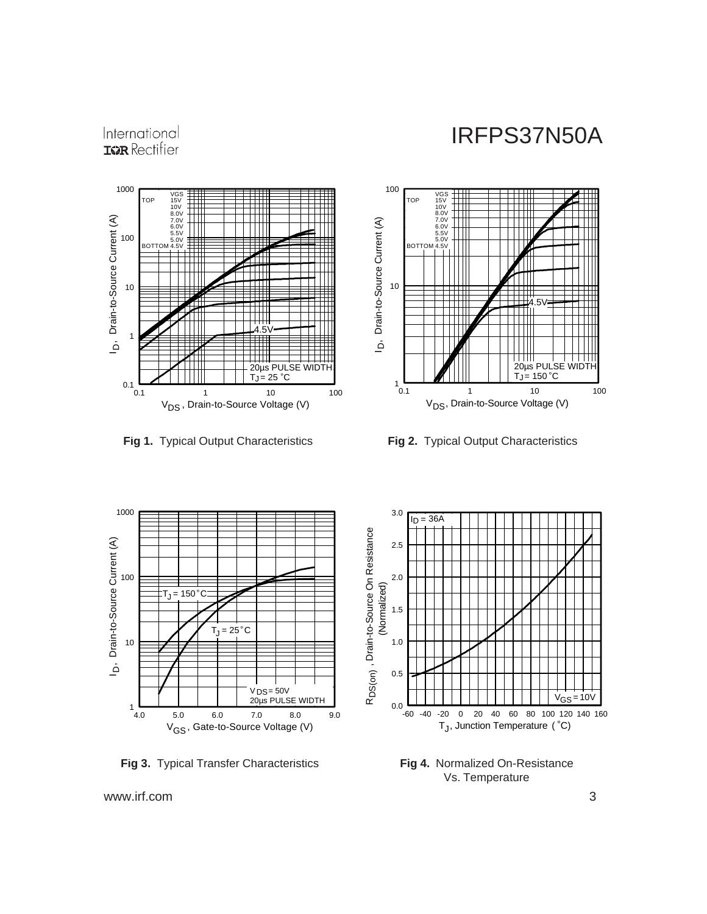



**Fig 1.** Typical Output Characteristics **Fig 2.** Typical Output Characteristics





**Fig 3.** Typical Transfer Characteristics



**Fig 4.** Normalized On-Resistance Vs. Temperature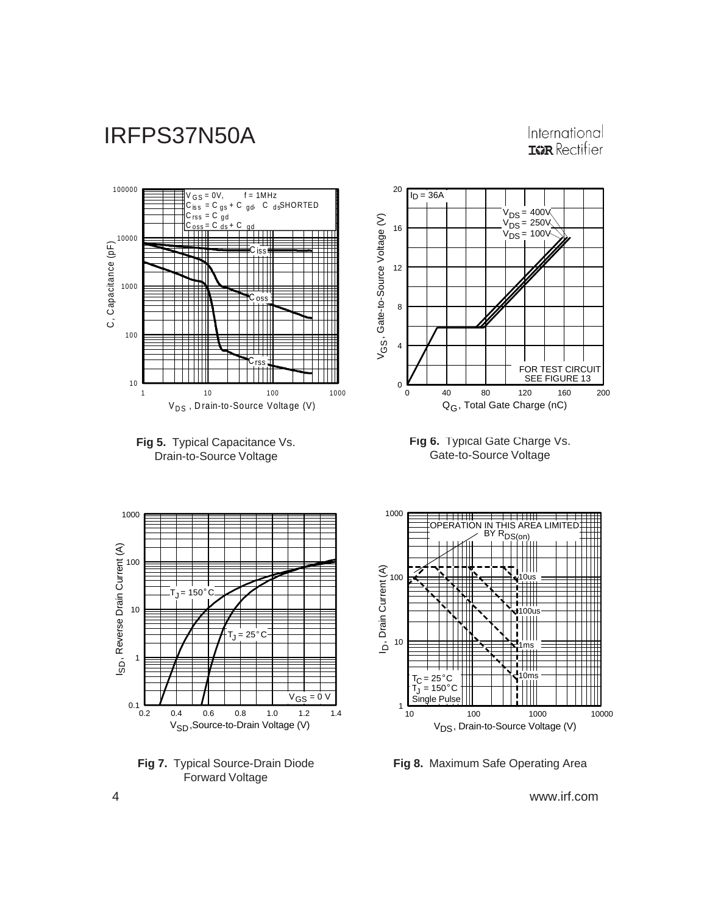### International **IGR** Rectifier





### **Fig 8.** Maximum Safe Operating Area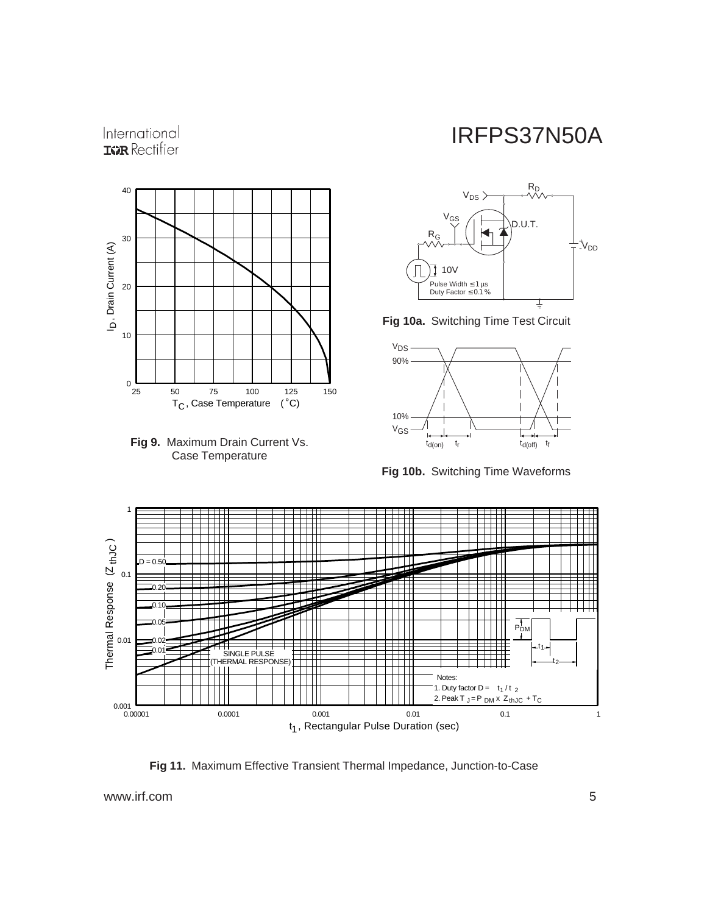### International **IGR** Rectifier





## IRFPS37N50A



**Fig 10a.** Switching Time Test Circuit



**Fig 10b.** Switching Time Waveforms



**Fig 11.** Maximum Effective Transient Thermal Impedance, Junction-to-Case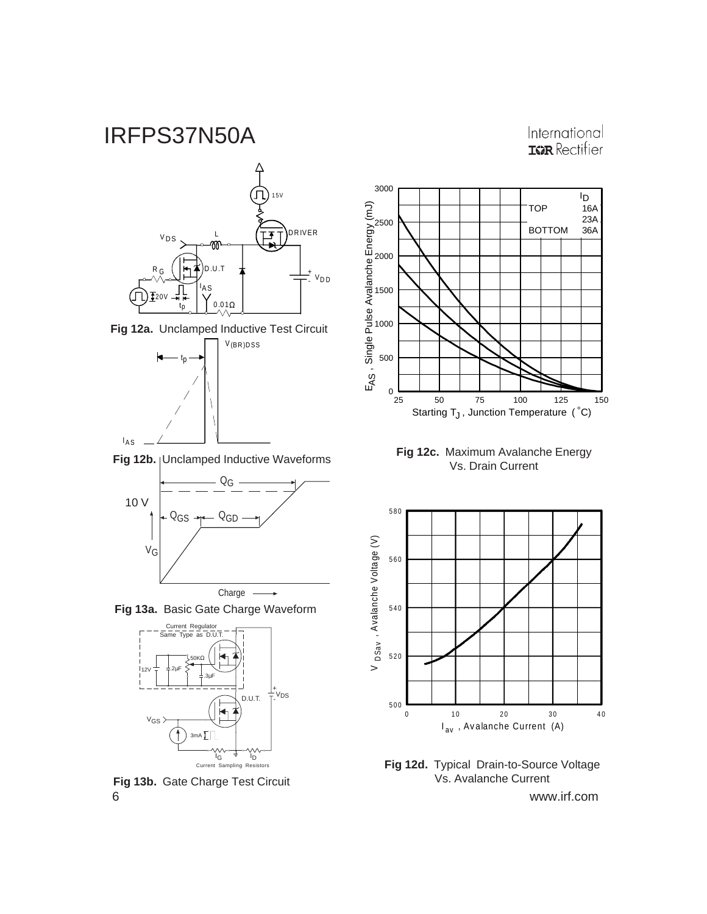International **IGR** Rectifier

![](_page_5_Figure_2.jpeg)

![](_page_5_Figure_3.jpeg)

![](_page_5_Figure_4.jpeg)

Fig 12b. | Unclamped Inductive Waveforms

![](_page_5_Figure_6.jpeg)

**Fig 13a.** Basic Gate Charge Waveform

![](_page_5_Figure_8.jpeg)

6 www.irf.com **Fig 13b.** Gate Charge Test Circuit

![](_page_5_Figure_10.jpeg)

**Fig 12c.** Maximum Avalanche Energy<br>Vs. Drain Current

![](_page_5_Figure_12.jpeg)

**Fig 12d.** Typical Drain-to-Source Voltage Vs. Avalanche Current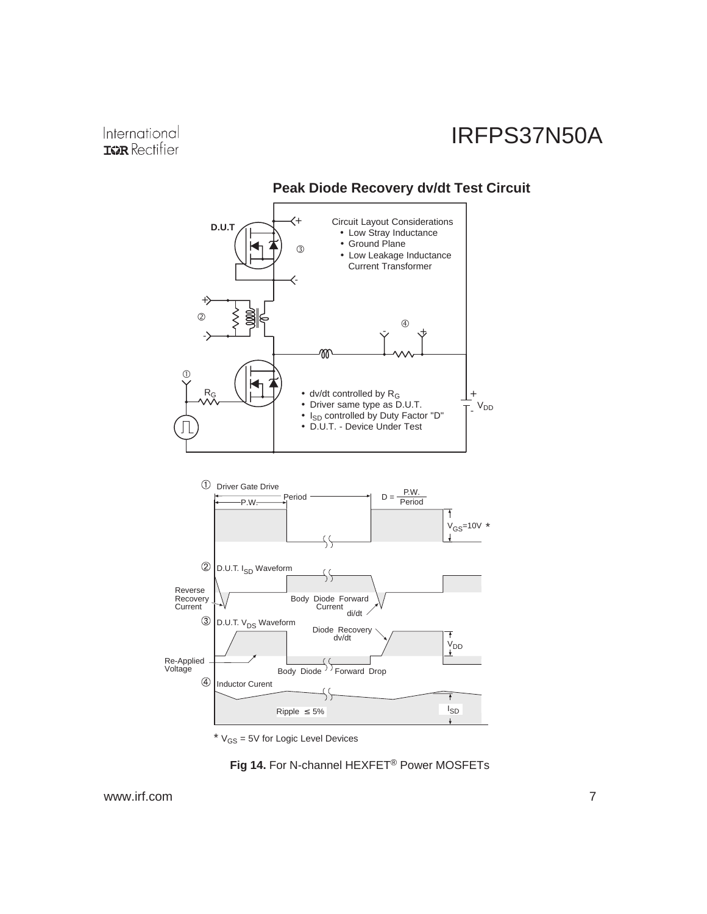![](_page_6_Figure_2.jpeg)

### **Peak Diode Recovery dv/dt Test Circuit**

 $*$   $V_{GS}$  = 5V for Logic Level Devices

![](_page_6_Figure_5.jpeg)